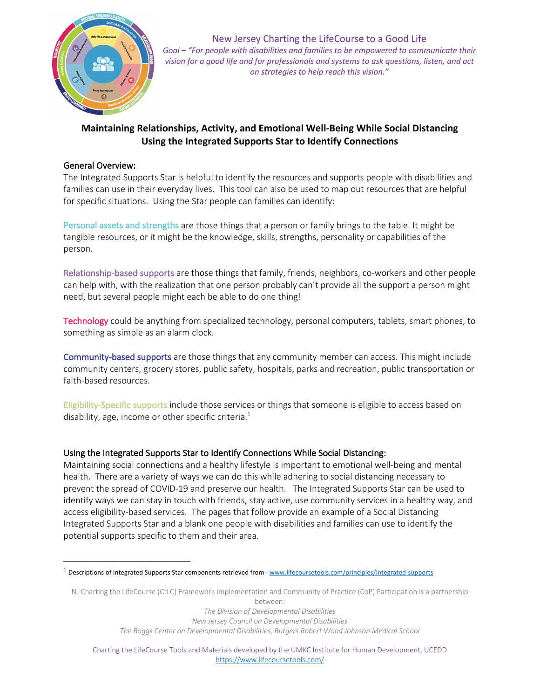

New Jersey Charting the LifeCourse to a Good Life *Goal – "For people with disabilities and families to be empowered to communicate their vision for a good life and for professionals and systems to ask questions, listen, and act on strategies to help reach this vision."* 

### **Maintaining Relationships, Activity, and Emotional Well-Being While Social Distancing Using the Integrated Supports Star to Identify Connections**

#### General Overview:

The Integrated Supports Star is helpful to identify the resources and supports people with disabilities and families can use in their everyday lives. This tool can also be used to map out resources that are helpful for specific situations. Using the Star people can families can identify:

Personal assets and strengths are those things that a person or family brings to the table. It might be tangible resources, or it might be the knowledge, skills, strengths, personality or capabilities of the person.

Relationship-based supports are those things that family, friends, neighbors, co-workers and other people can help with, with the realization that one person probably can't provide all the support a person might need, but several people might each be able to do one thing!

Technology could be anything from specialized technology, personal computers, tablets, smart phones, to something as simple as an alarm clock.

Community-based supports are those things that any community member can access. This might include community centers, grocery stores, public safety, hospitals, parks and recreation, public transportation or faith-based resources.

Eligibility-Specific supports include those services or things that someone is eligible to access based on disability, age, income or other specific criteria. $<sup>1</sup>$ </sup>

#### Using the Integrated Supports Star to Identify Connections While Social Distancing:

Maintaining social connections and a healthy lifestyle is important to emotional well-being and mental health. There are a variety of ways we can do this while adhering to social distancing necessary to prevent the spread of COVID-19 and preserve our health. The Integrated Supports Star can be used to identify ways we can stay in touch with friends, stay active, use community services in a healthy way, and access eligibility-based services. The pages that follow provide an example of a Social Distancing Integrated Supports Star and a blank one people with disabilities and families can use to identify the potential supports specific to them and their area.

NJ Charting the LifeCourse (CtLC) Framework Implementation and Community of Practice (CoP) Participation is a partnership between:

*The Division of Developmental Disabilities*

*New Jersey Council on Developmental Disabilities*

*The Boggs Center on Developmental Disabilities, Rutgers Robert Wood Johnson Medical School*

<sup>1</sup> Descriptions of Integrated Supports Star components retrieved from - www.lifecoursetools.com/principles/integrated-supports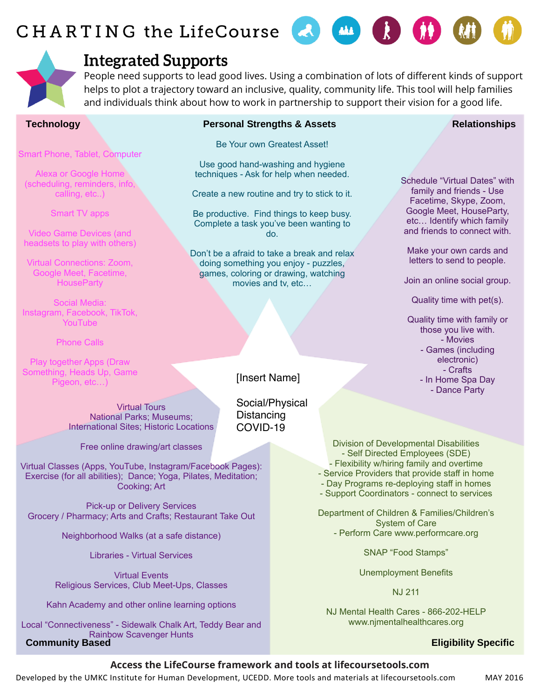# CHARTING the LifeCourse



## **Integrated Supports**

People need supports to lead good lives. Using a combination of lots of different kinds of support helps to plot a trajectory toward an inclusive, quality, community life. This tool will help families and individuals think about how to work in partnership to support their vision for a good life.

Smart Phone, Tablet, Computer

Alexa or Google Home (scheduling, reminders, info, calling, etc..)

Smart TV apps

Video Game Devices (and headsets to play with others)

Virtual Connections: Zoom, Google Meet, Facetime, **HouseParty** 

Social Media: Instagram, Facebook, TikTok, YouTube

Phone Calls

Play together Apps (Draw Something, Heads Up, Game Pigeon, etc…)

### **Technology Personal Strengths & Assets**

Be Your own Greatest Asset!

Use good hand-washing and hygiene techniques - Ask for help when needed.

Create a new routine and try to stick to it.

Be productive. Find things to keep busy. Complete a task you've been wanting to do.

Don't be a afraid to take a break and relax doing something you enjoy - puzzles, games, coloring or drawing, watching movies and tv, etc…

#### **Relationships**

Schedule "Virtual Dates" with family and friends - Use Facetime, Skype, Zoom, Google Meet, HouseParty, etc… Identify which family and friends to connect with.

Make your own cards and letters to send to people.

Join an online social group.

Quality time with pet(s).

Quality time with family or those you live with. - Movies - Games (including electronic) - Crafts - In Home Spa Day - Dance Party

Social/Physical **Distancing** COVID-19

Free online drawing/art classes

Virtual Tours National Parks; Museums; International Sites; Historic Locations

Virtual Classes (Apps, YouTube, Instagram/Facebook Pages): Exercise (for all abilities); Dance; Yoga, Pilates, Meditation; Cooking; Art

Pick-up or Delivery Services Grocery / Pharmacy; Arts and Crafts; Restaurant Take Out

Neighborhood Walks (at a safe distance)

Libraries - Virtual Services

Virtual Events Religious Services, Club Meet-Ups, Classes

Kahn Academy and other online learning options

**Community Based** Local "Connectiveness" - Sidewalk Chalk Art, Teddy Bear and Rainbow Scavenger Hunts

[Insert Name]

Division of Developmental Disabilities - Self Directed Employees (SDE) - Flexibility w/hiring family and overtime - Service Providers that provide staff in home - Day Programs re-deploying staff in homes

- Support Coordinators - connect to services

Department of Children & Families/Children's System of Care - Perform Care www.performcare.org

SNAP "Food Stamps"

Unemployment Benefits

NJ 211

NJ Mental Health Cares - 866-202-HELP www.njmentalhealthcares.org

#### **Eligibility Specific**

#### **Access the LifeCourse framework and tools at lifecoursetools.com**

Developed by the UMKC Institute for Human Development, UCEDD. More tools and materials at lifecoursetools.com MAY 2016